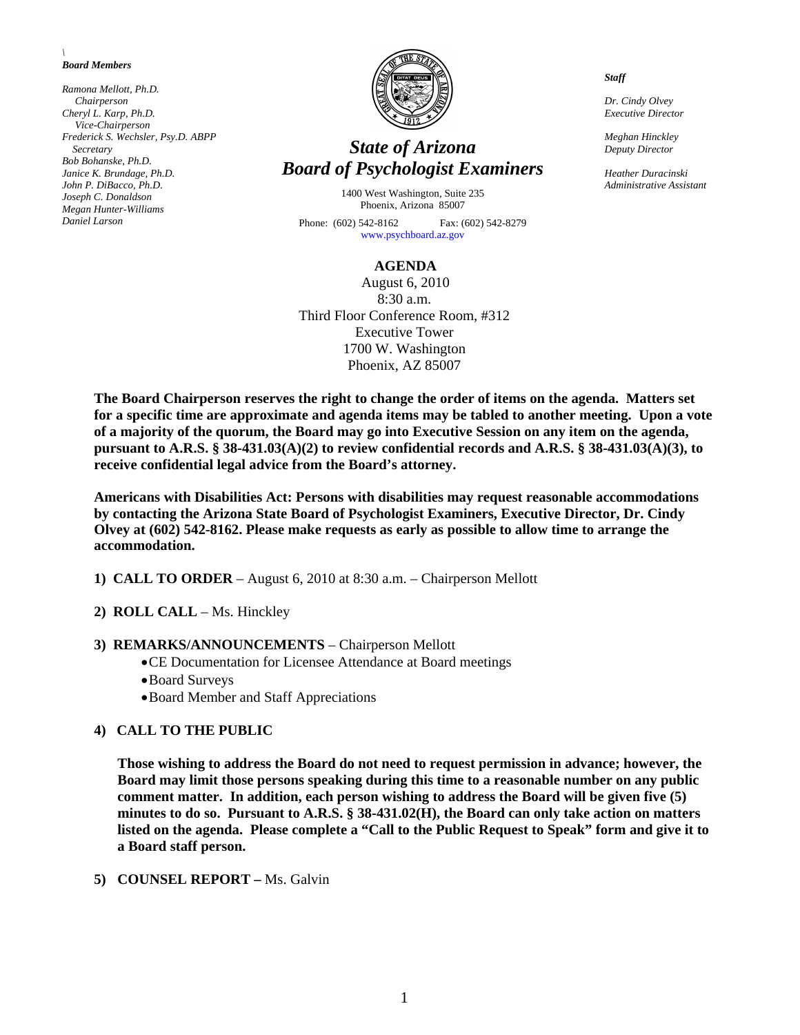#### *\ Board Members*

*Ramona Mellott, Ph.D. Chairperson Cheryl L. Karp, Ph.D. Vice-Chairperson Frederick S. Wechsler, Psy.D. ABPP Secretary Bob Bohanske, Ph.D. Janice K. Brundage, Ph.D. John P. DiBacco, Ph.D. Joseph C. Donaldson Megan Hunter-Williams Daniel Larson* 



# *State of Arizona Board of Psychologist Examiners*

1400 West Washington, Suite 235 Phoenix, Arizona 85007 Phone: (602) 542-8162 Fax: (602) 542-8279

[www.psychboard.az.gov](http://www.psychboard.az.gov/) 

#### **AGENDA**

August 6, 2010 8:30 a.m. Third Floor Conference Room, #312 Executive Tower 1700 W. Washington Phoenix, AZ 85007

**The Board Chairperson reserves the right to change the order of items on the agenda. Matters set for a specific time are approximate and agenda items may be tabled to another meeting. Upon a vote of a majority of the quorum, the Board may go into Executive Session on any item on the agenda, pursuant to A.R.S. § 38-431.03(A)(2) to review confidential records and A.R.S. § 38-431.03(A)(3), to receive confidential legal advice from the Board's attorney.** 

**Americans with Disabilities Act: Persons with disabilities may request reasonable accommodations by contacting the Arizona State Board of Psychologist Examiners, Executive Director, Dr. Cindy Olvey at (602) 542-8162. Please make requests as early as possible to allow time to arrange the accommodation.** 

- **1) CALL TO ORDER** August 6, 2010 at 8:30 a.m. Chairperson Mellott
- **2) ROLL CALL** Ms. Hinckley

#### **3) REMARKS/ANNOUNCEMENTS** – Chairperson Mellott

- CE Documentation for Licensee Attendance at Board meetings
- Board Surveys
- Board Member and Staff Appreciations

#### **4) CALL TO THE PUBLIC**

**Those wishing to address the Board do not need to request permission in advance; however, the Board may limit those persons speaking during this time to a reasonable number on any public comment matter. In addition, each person wishing to address the Board will be given five (5) minutes to do so. Pursuant to A.R.S. § 38-431.02(H), the Board can only take action on matters listed on the agenda. Please complete a "Call to the Public Request to Speak" form and give it to a Board staff person.** 

#### **5) COUNSEL REPORT –** Ms. Galvin

*Staff* 

*Dr. Cindy Olvey Executive Director* 

*Meghan Hinckley Deputy Director* 

*Heather Duracinski Administrative Assistant*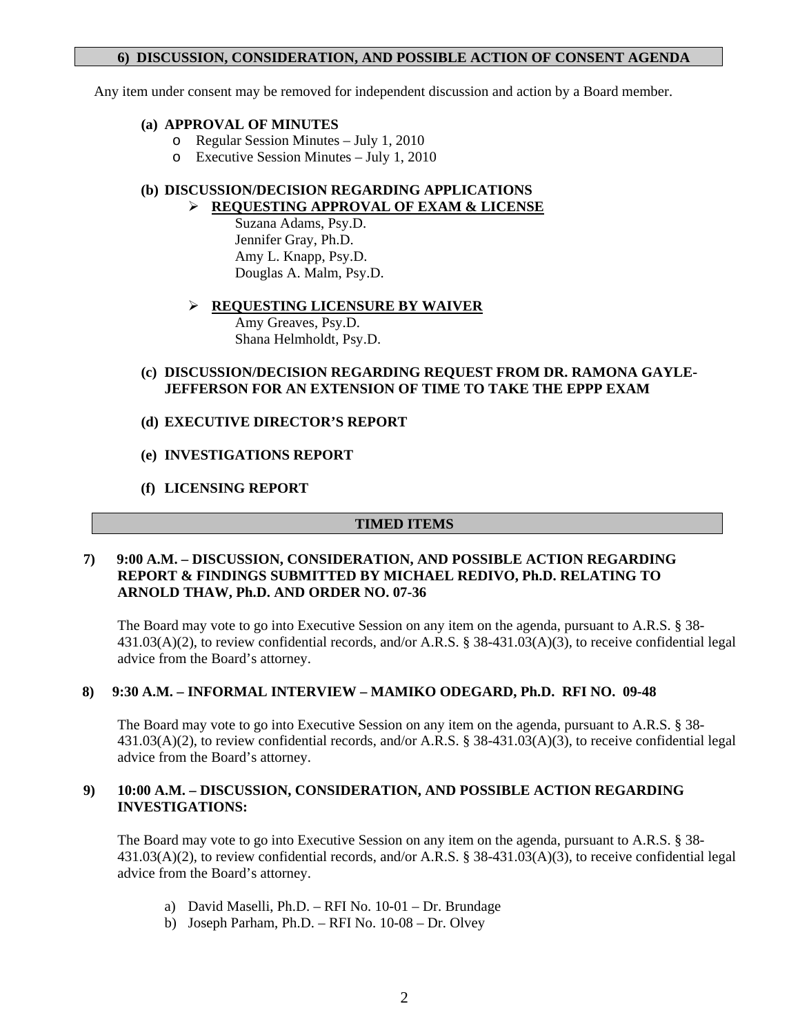# **6) DISCUSSION, CONSIDERATION, AND POSSIBLE ACTION OF CONSENT AGENDA**

Any item under consent may be removed for independent discussion and action by a Board member.

### **(a) APPROVAL OF MINUTES**

- o Regular Session Minutes July 1, 2010
- o Executive Session Minutes July 1, 2010

#### **(b) DISCUSSION/DECISION REGARDING APPLICATIONS REQUESTING APPROVAL OF EXAM & LICENSE**

 Suzana Adams, Psy.D. Jennifer Gray, Ph.D. Amy L. Knapp, Psy.D. Douglas A. Malm, Psy.D.

### **REQUESTING LICENSURE BY WAIVER**

 Amy Greaves, Psy.D. Shana Helmholdt, Psy.D.

# **(c) DISCUSSION/DECISION REGARDING REQUEST FROM DR. RAMONA GAYLE-JEFFERSON FOR AN EXTENSION OF TIME TO TAKE THE EPPP EXAM**

### **(d) EXECUTIVE DIRECTOR'S REPORT**

# **(e) INVESTIGATIONS REPORT**

### **(f) LICENSING REPORT**

# **TIMED ITEMS**

# **7) 9:00 A.M. – DISCUSSION, CONSIDERATION, AND POSSIBLE ACTION REGARDING REPORT & FINDINGS SUBMITTED BY MICHAEL REDIVO, Ph.D. RELATING TO ARNOLD THAW, Ph.D. AND ORDER NO. 07-36**

The Board may vote to go into Executive Session on any item on the agenda, pursuant to A.R.S. § 38- 431.03(A)(2), to review confidential records, and/or A.R.S. § 38-431.03(A)(3), to receive confidential legal advice from the Board's attorney.

# **8) 9:30 A.M. – INFORMAL INTERVIEW – MAMIKO ODEGARD, Ph.D. RFI NO. 09-48**

The Board may vote to go into Executive Session on any item on the agenda, pursuant to A.R.S. § 38-431.03(A)(2), to review confidential records, and/or A.R.S. § 38-431.03(A)(3), to receive confidential legal advice from the Board's attorney.

# **9) 10:00 A.M. – DISCUSSION, CONSIDERATION, AND POSSIBLE ACTION REGARDING INVESTIGATIONS:**

The Board may vote to go into Executive Session on any item on the agenda, pursuant to A.R.S. § 38- 431.03(A)(2), to review confidential records, and/or A.R.S. § 38-431.03(A)(3), to receive confidential legal advice from the Board's attorney.

- a) David Maselli, Ph.D. RFI No. 10-01 Dr. Brundage
- b) Joseph Parham, Ph.D. RFI No. 10-08 Dr. Olvey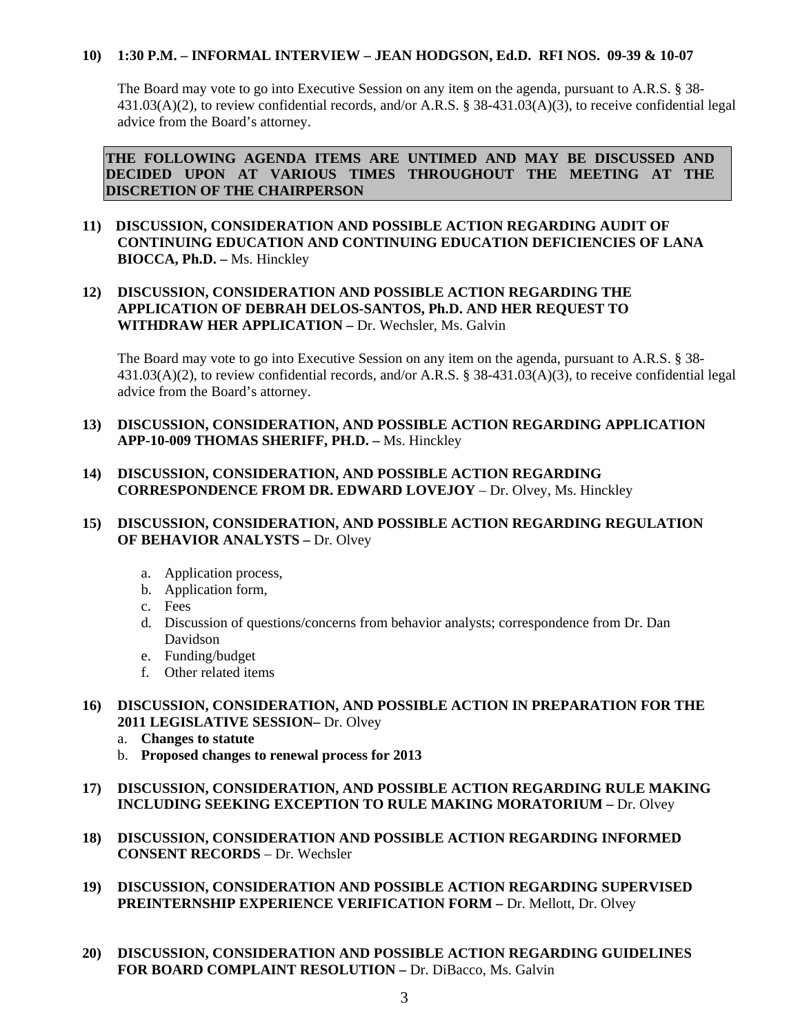# **10) 1:30 P.M. – INFORMAL INTERVIEW – JEAN HODGSON, Ed.D. RFI NOS. 09-39 & 10-07**

The Board may vote to go into Executive Session on any item on the agenda, pursuant to A.R.S. § 38- 431.03(A)(2), to review confidential records, and/or A.R.S. § 38-431.03(A)(3), to receive confidential legal advice from the Board's attorney.

**THE FOLLOWING AGENDA ITEMS ARE UNTIMED AND MAY BE DISCUSSED AND DECIDED UPON AT VARIOUS TIMES THROUGHOUT THE MEETING AT THE DISCRETION OF THE CHAIRPERSON** 

# **11) DISCUSSION, CONSIDERATION AND POSSIBLE ACTION REGARDING AUDIT OF CONTINUING EDUCATION AND CONTINUING EDUCATION DEFICIENCIES OF LANA BIOCCA, Ph.D. –** Ms. Hinckley

# **12) DISCUSSION, CONSIDERATION AND POSSIBLE ACTION REGARDING THE APPLICATION OF DEBRAH DELOS-SANTOS, Ph.D. AND HER REQUEST TO WITHDRAW HER APPLICATION –** Dr. Wechsler, Ms. Galvin

The Board may vote to go into Executive Session on any item on the agenda, pursuant to A.R.S. § 38-431.03(A)(2), to review confidential records, and/or A.R.S. § 38-431.03(A)(3), to receive confidential legal advice from the Board's attorney.

# **13) DISCUSSION, CONSIDERATION, AND POSSIBLE ACTION REGARDING APPLICATION APP-10-009 THOMAS SHERIFF, PH.D. –** Ms. Hinckley

# **14) DISCUSSION, CONSIDERATION, AND POSSIBLE ACTION REGARDING CORRESPONDENCE FROM DR. EDWARD LOVEJOY** – Dr. Olvey, Ms. Hinckley

# **15) DISCUSSION, CONSIDERATION, AND POSSIBLE ACTION REGARDING REGULATION OF BEHAVIOR ANALYSTS –** Dr. Olvey

- a. Application process,
- b. Application form,
- c. Fees
- d. Discussion of questions/concerns from behavior analysts; correspondence from Dr. Dan Davidson
- e. Funding/budget
- f. Other related items

### **16) DISCUSSION, CONSIDERATION, AND POSSIBLE ACTION IN PREPARATION FOR THE 2011 LEGISLATIVE SESSION–** Dr. Olvey

- a. **Changes to statute**
- b. **Proposed changes to renewal process for 2013**
- **17) DISCUSSION, CONSIDERATION, AND POSSIBLE ACTION REGARDING RULE MAKING INCLUDING SEEKING EXCEPTION TO RULE MAKING MORATORIUM –** Dr. Olvey
- **18) DISCUSSION, CONSIDERATION AND POSSIBLE ACTION REGARDING INFORMED CONSENT RECORDS** – Dr. Wechsler
- **19) DISCUSSION, CONSIDERATION AND POSSIBLE ACTION REGARDING SUPERVISED PREINTERNSHIP EXPERIENCE VERIFICATION FORM –** Dr. Mellott, Dr. Olvey
- **20) DISCUSSION, CONSIDERATION AND POSSIBLE ACTION REGARDING GUIDELINES FOR BOARD COMPLAINT RESOLUTION –** Dr. DiBacco, Ms. Galvin